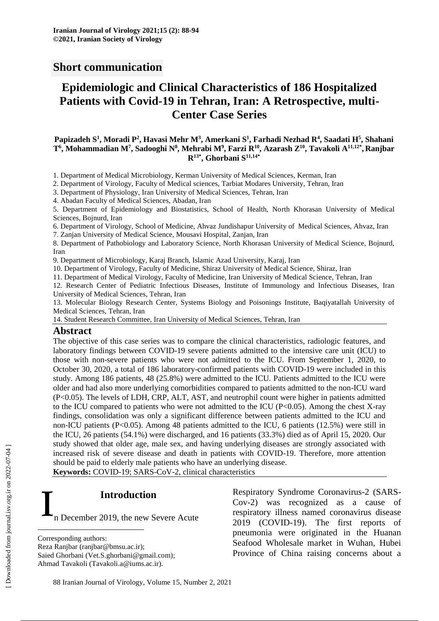# **Short communication**

# **Epidemiologic and Clinical Characteristics of 186 Hospitalized Patients with Covid-19 in Tehran, Iran: A Retrospective, multi-Center Case Series**

#### Papizadeh S<sup>1</sup>, Moradi P<sup>2</sup>, Havasi Mehr M<sup>3</sup>, Amerkani S<sup>1</sup>, Farhadi Nezhad R<sup>4</sup>, Saadati H<sup>5</sup>, Shahani  $\mathrm{T}^6,$  Mohammadian M $^7,$  Sadooghi N $^8,$  Mehrabi M $^9,$  Farzi R $^{10},$  Azarash  $\mathrm{Z}^{10},$  Tavakoli A $^{11,12^*},$  Ranjbar **R13\*, Ghorbani S 11,14\***

1. Department of Medical Microbiology, Kerman University of Medical Sciences, Kerman, Iran

2. Department of Virology, Faculty of Medical sciences, Tarbiat Modares University, Tehran, Iran

3. Department of Physiology, Iran University of Medical Sciences, Tehran, Iran

4. Abadan Faculty of Medical Sciences, Abadan, Iran

5. Department of Epidemiology and Biostatistics, School of Health, North Khorasan University of Medical Sciences, Bojnurd, Iran

6. Department of Virology, School of Medicine, Ahvaz Jundishapur University of Medical Sciences, Ahvaz, Iran

7. Zanjan University of Medical Science, Mousavi Hospital, Zanjan, Iran

8. Department of Pathobiology and Laboratory Science, North Khorasan University of Medical Science, Bojnurd, Iran

9. Department of Microbiology, Karaj Branch, Islamic Azad University, Karaj, Iran

10. Department of Virology, Faculty of Medicine, Shiraz University of Medical Science, Shiraz, Iran

11. Department of Medical Virology, Faculty of Medicine, Iran University of Medical Science, Tehran, Iran

12. Research Center of Pediatric Infectious Diseases, Institute of Immunology and Infectious Diseases, Iran University of Medical Sciences, Tehran, Iran

13. Molecular Biology Research Center, Systems Biology and Poisonings Institute, Baqiyatallah University of Medical Sciences, Tehran, Iran

14. Student Research Committee, Iran University of Medical Sciences, Tehran, Iran

### **Abstract**

The objective of this case series was to compare the clinical characteristics, radiologic features, and laboratory findings between COVID-19 severe patients admitted to the intensive care unit (ICU) to those with non-severe patients who were not admitted to the ICU. From September 1, 2020, to October 30, 2020, a total of 186 laboratory-confirmed patients with COVID-19 were included in this study. Among 186 patients, 48 (25.8%) were admitted to the ICU. Patients admitted to the ICU were older and had also more underlying comorbidities compared to patients admitted to the non-ICU ward (P<0.05). The levels of LDH, CRP, ALT, AST, and neutrophil count were higher in patients admitted to the ICU compared to patients who were not admitted to the ICU (P<0.05). Among the chest X-ray findings, consolidation was only a significant difference between patients admitted to the ICU and non-ICU patients (P<0.05). Among 48 patients admitted to the ICU, 6 patients (12.5%) were still in the ICU, 26 patients (54.1%) were discharged, and 16 patients (33.3%) died as of April 15, 2020. Our study showed that older age, male sex, and having underlying diseases are strongly associated with increased risk of severe disease and death in patients with COVID-19. Therefore, more attention should be paid to elderly male patients who have an underlying disease.

**Keywords:** COVID-19; SARS-CoV-2, clinical characteristics

**Introduction\***

n December 2019, the new Severe Acute I

Saied Ghorbani (Vet.S.ghorbani@gmail.com); Ahmad Tavakoli (Tavakoli.a@iums.ac.ir).

Respiratory Syndrome Coronavirus-2 (SARS-Cov-2) was recognized as a cause of respiratory illness named coronavirus disease 2019 (COVID-19). The first reports of pneumonia were originated in the Huanan Seafood Wholesale market in Wuhan, Hubei Province of China raising concerns about a

 $\overline{a}$ 

Corresponding authors:

Reza Ranjbar (ranjbar@bmsu.ac.ir);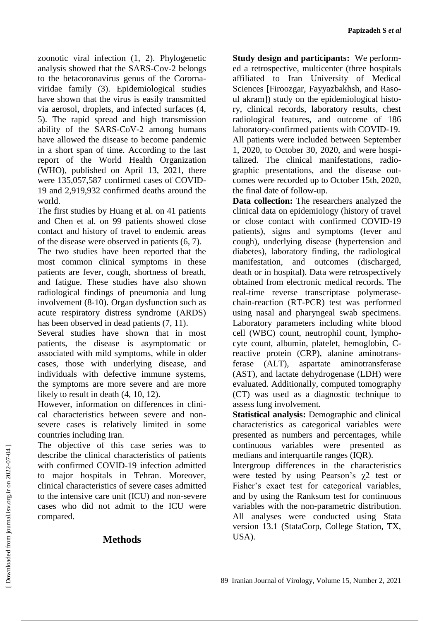zoonotic viral infection (1, 2). Phylogenetic analysis showed that the SARS-Cov-2 belongs to the betacoronavirus genus of the Corornaviridae family (3). Epidemiological studies have shown that the virus is easily transmitted via aerosol, droplets, and infected surfaces (4, 5). The rapid spread and high transmission ability of the SARS-CoV-2 among humans have allowed the disease to become pandemic in a short span of time. According to the last report of the World Health Organization (WHO), published on April 13, 2021, there were 135,057,587 confirmed cases of COVID-19 and 2,919,932 confirmed deaths around the world.

The first studies by Huang et al. on 41 patients and Chen et al. on 99 patients showed close contact and history of travel to endemic areas of the disease were observed in patients (6, 7).

The two studies have been reported that the most common clinical symptoms in these patients are fever, cough, shortness of breath, and fatigue. These studies have also shown radiological findings of pneumonia and lung involvement (8-10). Organ dysfunction such as acute respiratory distress syndrome (ARDS) has been observed in dead patients (7, 11).

Several studies have shown that in most patients, the disease is asymptomatic or associated with mild symptoms, while in older cases, those with underlying disease, and individuals with defective immune systems, the symptoms are more severe and are more likely to result in death (4, 10, 12).

However, information on differences in clinical characteristics between severe and nonsevere cases is relatively limited in some countries including Iran.

The objective of this case series was to describe the clinical characteristics of patients with confirmed COVID-19 infection admitted to major hospitals in Tehran. Moreover, clinical characteristics of severe cases admitted to the intensive care unit (ICU) and non-severe cases who did not admit to the ICU were compared.

# **Methods**

**Study design and participants:** We performed a retrospective, multicenter (three hospitals affiliated to Iran University of Medical Sciences [Firoozgar, Fayyazbakhsh, and Rasoul akram]) study on the epidemiological history, clinical records, laboratory results, chest radiological features, and outcome of 186 laboratory-confirmed patients with COVID-19. All patients were included between September 1, 2020, to October 30, 2020, and were hospitalized. The clinical manifestations, radiographic presentations, and the disease outcomes were recorded up to October 15th, 2020, the final date of follow-up.

**Data collection:** The researchers analyzed the clinical data on epidemiology (history of travel or close contact with confirmed COVID-19 patients), signs and symptoms (fever and cough), underlying disease (hypertension and diabetes), laboratory finding, the radiological manifestation, and outcomes (discharged, death or in hospital). Data were retrospectively obtained from electronic medical records. The real-time reverse transcriptase polymerasechain-reaction (RT-PCR) test was performed using nasal and pharyngeal swab specimens. Laboratory parameters including white blood cell (WBC) count, neutrophil count, lymphocyte count, albumin, platelet, hemoglobin, Creactive protein (CRP), alanine aminotransferase (ALT), aspartate aminotransferase (AST), and lactate dehydrogenase (LDH) were evaluated. Additionally, computed tomography (CT) was used as a diagnostic technique to assess lung involvement.

**Statistical analysis:** Demographic and clinical characteristics as categorical variables were presented as numbers and percentages, while continuous variables were presented as medians and interquartile ranges (IQR).

Intergroup differences in the characteristics were tested by using Pearson's  $\gamma$ 2 test or Fisher's exact test for categorical variables, and by using the Ranksum test for continuous variables with the non-parametric distribution. All analyses were conducted using Stata version 13.1 (StataCorp, College Station, TX, USA).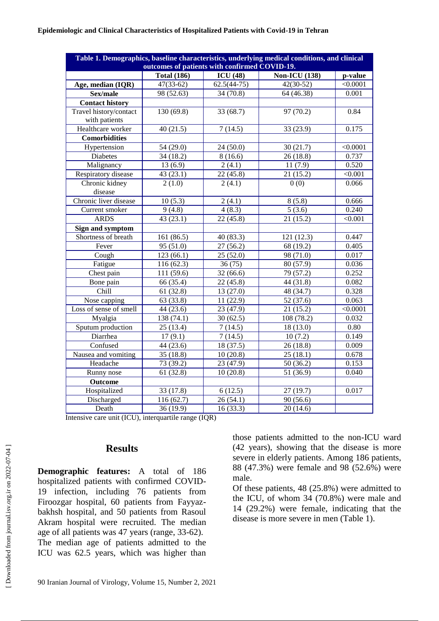#### **Epidemiologic and Clinical Characteristics of Hospitalized Patients with Covid-19 in Tehran**

| <b>Non-ICU</b> (138)<br><b>Total (186)</b><br>ICU(48)<br>p-value<br>$42(30-52)$<br>$\sqrt{0.0001}$<br>$47(33-62)$<br>$62.5(44-75)$<br>Age, median (IQR)<br>98 (52.63)<br>34 (70.8)<br>64 (46.38)<br>0.001<br>Sex/male<br><b>Contact history</b><br>Travel history/contact<br>130 (69.8)<br>97 (70.2)<br>0.84<br>33 (68.7)<br>with patients<br>Healthcare worker<br>40(21.5)<br>7(14.5)<br>33 (23.9)<br>0.175<br><b>Comorbidities</b><br>Hypertension<br>30(21.7)<br>54(29.0)<br>< 0.0001<br>24 (50.0)<br><b>Diabetes</b><br>34(18.2)<br>8(16.6)<br>26(18.8)<br>0.737<br>2(4.1)<br>0.520<br>Malignancy<br>13(6.9)<br>11(7.9)<br>Respiratory disease<br>43 (23.1)<br>22(45.8)<br>21(15.2)<br>< 0.001<br>Chronic kidney<br>2(4.1)<br>0(0)<br>0.066<br>2(1.0)<br>disease<br>Chronic liver disease<br>0.666<br>10(5.3)<br>2(4.1)<br>8(5.8)<br>0.240<br>9(4.8)<br>4(8.3)<br>5(3.6)<br>Current smoker<br>21(15.2)<br><b>ARDS</b><br>43(23.1)<br>22(45.8)<br>< 0.001<br><b>Sign and symptom</b><br>Shortness of breath<br>121(12.3)<br>0.447<br>161 (86.5)<br>40(83.3)<br>Fever<br>95 (51.0)<br>27(56.2)<br>68 (19.2)<br>0.405<br>Cough<br>123(66.1)<br>98 (71.0)<br>25(52.0)<br>0.017<br>Fatigue<br>116(62.3)<br>36(75)<br>80 (57.9)<br>0.036<br>Chest pain<br>111 (59.6)<br>79 (57.2)<br>0.252<br>32(66.6)<br>66 (35.4)<br>22(45.8)<br>44 (31.8)<br>Bone pain<br>0.082<br>$\overline{\text{Child}}$<br>61(32.8)<br>0.328<br>13 (27.0)<br>48 (34.7)<br>52 (37.6)<br>Nose capping<br>63 (33.8)<br>11(22.9)<br>0.063<br>Loss of sense of smell<br>44 (23.6)<br>23 (47.9)<br>21(15.2)<br>< 0.0001<br>138 (74.1)<br>108 (78.2)<br>Myalgia<br>30(62.5)<br>0.032<br>Sputum production<br>25(13.4)<br>7(14.5)<br>18 (13.0)<br>0.80<br>Diarrhea<br>17(9.1)<br>10(7.2)<br>7(14.5)<br>0.149<br>26(18.8)<br>Confused<br>44 (23.6)<br>0.009<br>18 (37.5)<br>Nausea and vomiting<br>35(18.8)<br>10(20.8)<br>25(18.1)<br>0.678<br>Headache<br>23 (47.9)<br>50(36.2)<br>0.153<br>73 (39.2)<br>Runny nose<br>0.040<br>61(32.8)<br>10(20.8)<br>51 (36.9)<br><b>Outcome</b><br>Hospitalized<br>33 (17.8)<br>6(12.5)<br>27(19.7)<br>0.017 | Table 1. Demographics, baseline characteristics, underlying medical conditions, and clinical |                                               |  |  |  |  |  |
|-----------------------------------------------------------------------------------------------------------------------------------------------------------------------------------------------------------------------------------------------------------------------------------------------------------------------------------------------------------------------------------------------------------------------------------------------------------------------------------------------------------------------------------------------------------------------------------------------------------------------------------------------------------------------------------------------------------------------------------------------------------------------------------------------------------------------------------------------------------------------------------------------------------------------------------------------------------------------------------------------------------------------------------------------------------------------------------------------------------------------------------------------------------------------------------------------------------------------------------------------------------------------------------------------------------------------------------------------------------------------------------------------------------------------------------------------------------------------------------------------------------------------------------------------------------------------------------------------------------------------------------------------------------------------------------------------------------------------------------------------------------------------------------------------------------------------------------------------------------------------------------------------------------------------------------------------------------------------------------------------------------------------------------------------------------------------------------------------------------------|----------------------------------------------------------------------------------------------|-----------------------------------------------|--|--|--|--|--|
|                                                                                                                                                                                                                                                                                                                                                                                                                                                                                                                                                                                                                                                                                                                                                                                                                                                                                                                                                                                                                                                                                                                                                                                                                                                                                                                                                                                                                                                                                                                                                                                                                                                                                                                                                                                                                                                                                                                                                                                                                                                                                                                 |                                                                                              | outcomes of patients with confirmed COVID-19. |  |  |  |  |  |
|                                                                                                                                                                                                                                                                                                                                                                                                                                                                                                                                                                                                                                                                                                                                                                                                                                                                                                                                                                                                                                                                                                                                                                                                                                                                                                                                                                                                                                                                                                                                                                                                                                                                                                                                                                                                                                                                                                                                                                                                                                                                                                                 |                                                                                              |                                               |  |  |  |  |  |
|                                                                                                                                                                                                                                                                                                                                                                                                                                                                                                                                                                                                                                                                                                                                                                                                                                                                                                                                                                                                                                                                                                                                                                                                                                                                                                                                                                                                                                                                                                                                                                                                                                                                                                                                                                                                                                                                                                                                                                                                                                                                                                                 |                                                                                              |                                               |  |  |  |  |  |
|                                                                                                                                                                                                                                                                                                                                                                                                                                                                                                                                                                                                                                                                                                                                                                                                                                                                                                                                                                                                                                                                                                                                                                                                                                                                                                                                                                                                                                                                                                                                                                                                                                                                                                                                                                                                                                                                                                                                                                                                                                                                                                                 |                                                                                              |                                               |  |  |  |  |  |
|                                                                                                                                                                                                                                                                                                                                                                                                                                                                                                                                                                                                                                                                                                                                                                                                                                                                                                                                                                                                                                                                                                                                                                                                                                                                                                                                                                                                                                                                                                                                                                                                                                                                                                                                                                                                                                                                                                                                                                                                                                                                                                                 |                                                                                              |                                               |  |  |  |  |  |
|                                                                                                                                                                                                                                                                                                                                                                                                                                                                                                                                                                                                                                                                                                                                                                                                                                                                                                                                                                                                                                                                                                                                                                                                                                                                                                                                                                                                                                                                                                                                                                                                                                                                                                                                                                                                                                                                                                                                                                                                                                                                                                                 |                                                                                              |                                               |  |  |  |  |  |
|                                                                                                                                                                                                                                                                                                                                                                                                                                                                                                                                                                                                                                                                                                                                                                                                                                                                                                                                                                                                                                                                                                                                                                                                                                                                                                                                                                                                                                                                                                                                                                                                                                                                                                                                                                                                                                                                                                                                                                                                                                                                                                                 |                                                                                              |                                               |  |  |  |  |  |
|                                                                                                                                                                                                                                                                                                                                                                                                                                                                                                                                                                                                                                                                                                                                                                                                                                                                                                                                                                                                                                                                                                                                                                                                                                                                                                                                                                                                                                                                                                                                                                                                                                                                                                                                                                                                                                                                                                                                                                                                                                                                                                                 |                                                                                              |                                               |  |  |  |  |  |
|                                                                                                                                                                                                                                                                                                                                                                                                                                                                                                                                                                                                                                                                                                                                                                                                                                                                                                                                                                                                                                                                                                                                                                                                                                                                                                                                                                                                                                                                                                                                                                                                                                                                                                                                                                                                                                                                                                                                                                                                                                                                                                                 |                                                                                              |                                               |  |  |  |  |  |
|                                                                                                                                                                                                                                                                                                                                                                                                                                                                                                                                                                                                                                                                                                                                                                                                                                                                                                                                                                                                                                                                                                                                                                                                                                                                                                                                                                                                                                                                                                                                                                                                                                                                                                                                                                                                                                                                                                                                                                                                                                                                                                                 |                                                                                              |                                               |  |  |  |  |  |
|                                                                                                                                                                                                                                                                                                                                                                                                                                                                                                                                                                                                                                                                                                                                                                                                                                                                                                                                                                                                                                                                                                                                                                                                                                                                                                                                                                                                                                                                                                                                                                                                                                                                                                                                                                                                                                                                                                                                                                                                                                                                                                                 |                                                                                              |                                               |  |  |  |  |  |
|                                                                                                                                                                                                                                                                                                                                                                                                                                                                                                                                                                                                                                                                                                                                                                                                                                                                                                                                                                                                                                                                                                                                                                                                                                                                                                                                                                                                                                                                                                                                                                                                                                                                                                                                                                                                                                                                                                                                                                                                                                                                                                                 |                                                                                              |                                               |  |  |  |  |  |
|                                                                                                                                                                                                                                                                                                                                                                                                                                                                                                                                                                                                                                                                                                                                                                                                                                                                                                                                                                                                                                                                                                                                                                                                                                                                                                                                                                                                                                                                                                                                                                                                                                                                                                                                                                                                                                                                                                                                                                                                                                                                                                                 |                                                                                              |                                               |  |  |  |  |  |
|                                                                                                                                                                                                                                                                                                                                                                                                                                                                                                                                                                                                                                                                                                                                                                                                                                                                                                                                                                                                                                                                                                                                                                                                                                                                                                                                                                                                                                                                                                                                                                                                                                                                                                                                                                                                                                                                                                                                                                                                                                                                                                                 |                                                                                              |                                               |  |  |  |  |  |
|                                                                                                                                                                                                                                                                                                                                                                                                                                                                                                                                                                                                                                                                                                                                                                                                                                                                                                                                                                                                                                                                                                                                                                                                                                                                                                                                                                                                                                                                                                                                                                                                                                                                                                                                                                                                                                                                                                                                                                                                                                                                                                                 |                                                                                              |                                               |  |  |  |  |  |
|                                                                                                                                                                                                                                                                                                                                                                                                                                                                                                                                                                                                                                                                                                                                                                                                                                                                                                                                                                                                                                                                                                                                                                                                                                                                                                                                                                                                                                                                                                                                                                                                                                                                                                                                                                                                                                                                                                                                                                                                                                                                                                                 |                                                                                              |                                               |  |  |  |  |  |
|                                                                                                                                                                                                                                                                                                                                                                                                                                                                                                                                                                                                                                                                                                                                                                                                                                                                                                                                                                                                                                                                                                                                                                                                                                                                                                                                                                                                                                                                                                                                                                                                                                                                                                                                                                                                                                                                                                                                                                                                                                                                                                                 |                                                                                              |                                               |  |  |  |  |  |
|                                                                                                                                                                                                                                                                                                                                                                                                                                                                                                                                                                                                                                                                                                                                                                                                                                                                                                                                                                                                                                                                                                                                                                                                                                                                                                                                                                                                                                                                                                                                                                                                                                                                                                                                                                                                                                                                                                                                                                                                                                                                                                                 |                                                                                              |                                               |  |  |  |  |  |
|                                                                                                                                                                                                                                                                                                                                                                                                                                                                                                                                                                                                                                                                                                                                                                                                                                                                                                                                                                                                                                                                                                                                                                                                                                                                                                                                                                                                                                                                                                                                                                                                                                                                                                                                                                                                                                                                                                                                                                                                                                                                                                                 |                                                                                              |                                               |  |  |  |  |  |
|                                                                                                                                                                                                                                                                                                                                                                                                                                                                                                                                                                                                                                                                                                                                                                                                                                                                                                                                                                                                                                                                                                                                                                                                                                                                                                                                                                                                                                                                                                                                                                                                                                                                                                                                                                                                                                                                                                                                                                                                                                                                                                                 |                                                                                              |                                               |  |  |  |  |  |
|                                                                                                                                                                                                                                                                                                                                                                                                                                                                                                                                                                                                                                                                                                                                                                                                                                                                                                                                                                                                                                                                                                                                                                                                                                                                                                                                                                                                                                                                                                                                                                                                                                                                                                                                                                                                                                                                                                                                                                                                                                                                                                                 |                                                                                              |                                               |  |  |  |  |  |
|                                                                                                                                                                                                                                                                                                                                                                                                                                                                                                                                                                                                                                                                                                                                                                                                                                                                                                                                                                                                                                                                                                                                                                                                                                                                                                                                                                                                                                                                                                                                                                                                                                                                                                                                                                                                                                                                                                                                                                                                                                                                                                                 |                                                                                              |                                               |  |  |  |  |  |
|                                                                                                                                                                                                                                                                                                                                                                                                                                                                                                                                                                                                                                                                                                                                                                                                                                                                                                                                                                                                                                                                                                                                                                                                                                                                                                                                                                                                                                                                                                                                                                                                                                                                                                                                                                                                                                                                                                                                                                                                                                                                                                                 |                                                                                              |                                               |  |  |  |  |  |
|                                                                                                                                                                                                                                                                                                                                                                                                                                                                                                                                                                                                                                                                                                                                                                                                                                                                                                                                                                                                                                                                                                                                                                                                                                                                                                                                                                                                                                                                                                                                                                                                                                                                                                                                                                                                                                                                                                                                                                                                                                                                                                                 |                                                                                              |                                               |  |  |  |  |  |
|                                                                                                                                                                                                                                                                                                                                                                                                                                                                                                                                                                                                                                                                                                                                                                                                                                                                                                                                                                                                                                                                                                                                                                                                                                                                                                                                                                                                                                                                                                                                                                                                                                                                                                                                                                                                                                                                                                                                                                                                                                                                                                                 |                                                                                              |                                               |  |  |  |  |  |
|                                                                                                                                                                                                                                                                                                                                                                                                                                                                                                                                                                                                                                                                                                                                                                                                                                                                                                                                                                                                                                                                                                                                                                                                                                                                                                                                                                                                                                                                                                                                                                                                                                                                                                                                                                                                                                                                                                                                                                                                                                                                                                                 |                                                                                              |                                               |  |  |  |  |  |
|                                                                                                                                                                                                                                                                                                                                                                                                                                                                                                                                                                                                                                                                                                                                                                                                                                                                                                                                                                                                                                                                                                                                                                                                                                                                                                                                                                                                                                                                                                                                                                                                                                                                                                                                                                                                                                                                                                                                                                                                                                                                                                                 |                                                                                              |                                               |  |  |  |  |  |
|                                                                                                                                                                                                                                                                                                                                                                                                                                                                                                                                                                                                                                                                                                                                                                                                                                                                                                                                                                                                                                                                                                                                                                                                                                                                                                                                                                                                                                                                                                                                                                                                                                                                                                                                                                                                                                                                                                                                                                                                                                                                                                                 |                                                                                              |                                               |  |  |  |  |  |
|                                                                                                                                                                                                                                                                                                                                                                                                                                                                                                                                                                                                                                                                                                                                                                                                                                                                                                                                                                                                                                                                                                                                                                                                                                                                                                                                                                                                                                                                                                                                                                                                                                                                                                                                                                                                                                                                                                                                                                                                                                                                                                                 |                                                                                              |                                               |  |  |  |  |  |
|                                                                                                                                                                                                                                                                                                                                                                                                                                                                                                                                                                                                                                                                                                                                                                                                                                                                                                                                                                                                                                                                                                                                                                                                                                                                                                                                                                                                                                                                                                                                                                                                                                                                                                                                                                                                                                                                                                                                                                                                                                                                                                                 |                                                                                              |                                               |  |  |  |  |  |
|                                                                                                                                                                                                                                                                                                                                                                                                                                                                                                                                                                                                                                                                                                                                                                                                                                                                                                                                                                                                                                                                                                                                                                                                                                                                                                                                                                                                                                                                                                                                                                                                                                                                                                                                                                                                                                                                                                                                                                                                                                                                                                                 |                                                                                              |                                               |  |  |  |  |  |
|                                                                                                                                                                                                                                                                                                                                                                                                                                                                                                                                                                                                                                                                                                                                                                                                                                                                                                                                                                                                                                                                                                                                                                                                                                                                                                                                                                                                                                                                                                                                                                                                                                                                                                                                                                                                                                                                                                                                                                                                                                                                                                                 |                                                                                              |                                               |  |  |  |  |  |
|                                                                                                                                                                                                                                                                                                                                                                                                                                                                                                                                                                                                                                                                                                                                                                                                                                                                                                                                                                                                                                                                                                                                                                                                                                                                                                                                                                                                                                                                                                                                                                                                                                                                                                                                                                                                                                                                                                                                                                                                                                                                                                                 |                                                                                              |                                               |  |  |  |  |  |
|                                                                                                                                                                                                                                                                                                                                                                                                                                                                                                                                                                                                                                                                                                                                                                                                                                                                                                                                                                                                                                                                                                                                                                                                                                                                                                                                                                                                                                                                                                                                                                                                                                                                                                                                                                                                                                                                                                                                                                                                                                                                                                                 |                                                                                              |                                               |  |  |  |  |  |
|                                                                                                                                                                                                                                                                                                                                                                                                                                                                                                                                                                                                                                                                                                                                                                                                                                                                                                                                                                                                                                                                                                                                                                                                                                                                                                                                                                                                                                                                                                                                                                                                                                                                                                                                                                                                                                                                                                                                                                                                                                                                                                                 |                                                                                              |                                               |  |  |  |  |  |
|                                                                                                                                                                                                                                                                                                                                                                                                                                                                                                                                                                                                                                                                                                                                                                                                                                                                                                                                                                                                                                                                                                                                                                                                                                                                                                                                                                                                                                                                                                                                                                                                                                                                                                                                                                                                                                                                                                                                                                                                                                                                                                                 |                                                                                              |                                               |  |  |  |  |  |
|                                                                                                                                                                                                                                                                                                                                                                                                                                                                                                                                                                                                                                                                                                                                                                                                                                                                                                                                                                                                                                                                                                                                                                                                                                                                                                                                                                                                                                                                                                                                                                                                                                                                                                                                                                                                                                                                                                                                                                                                                                                                                                                 |                                                                                              |                                               |  |  |  |  |  |
| Discharged<br>116 (62.7)<br>26(54.1)<br>90(56.6)                                                                                                                                                                                                                                                                                                                                                                                                                                                                                                                                                                                                                                                                                                                                                                                                                                                                                                                                                                                                                                                                                                                                                                                                                                                                                                                                                                                                                                                                                                                                                                                                                                                                                                                                                                                                                                                                                                                                                                                                                                                                |                                                                                              |                                               |  |  |  |  |  |
| 16(33.3)<br>20(14.6)<br>Death<br>36 (19.9)                                                                                                                                                                                                                                                                                                                                                                                                                                                                                                                                                                                                                                                                                                                                                                                                                                                                                                                                                                                                                                                                                                                                                                                                                                                                                                                                                                                                                                                                                                                                                                                                                                                                                                                                                                                                                                                                                                                                                                                                                                                                      |                                                                                              |                                               |  |  |  |  |  |

Intensive care unit (ICU), interquartile range (IQR)

## **Results**

**Demographic features:** A total of 186 hospitalized patients with confirmed COVID-19 infection, including 76 patients from Firoozgar hospital, 60 patients from Fayyazbakhsh hospital, and 50 patients from Rasoul Akram hospital were recruited. The median age of all patients was 47 years (range, 33-62). The median age of patients admitted to the ICU was 62.5 years, which was higher than

those patients admitted to the non-ICU ward (42 years), showing that the disease is more severe in elderly patients. Among 186 patients, 88 (47.3%) were female and 98 (52.6%) were male.

Of these patients, 48 (25.8%) were admitted to the ICU, of whom 34 (70.8%) were male and 14 (29.2%) were female, indicating that the disease is more severe in men (Table 1).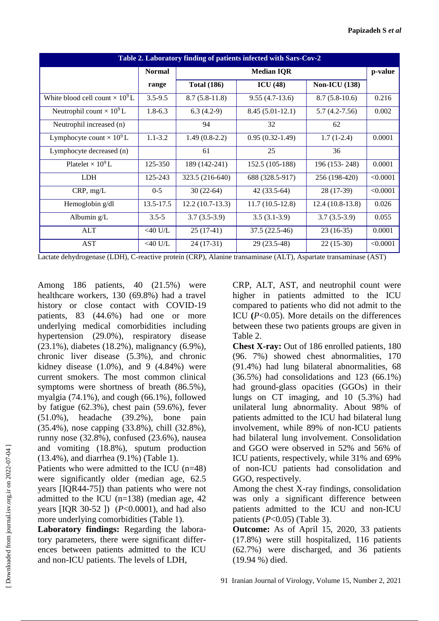| Table 2. Laboratory finding of patients infected with Sars-Cov-2 |               |                    |                   |                      |          |  |  |
|------------------------------------------------------------------|---------------|--------------------|-------------------|----------------------|----------|--|--|
|                                                                  | <b>Normal</b> | <b>Median IQR</b>  |                   |                      | p-value  |  |  |
|                                                                  | range         | <b>Total (186)</b> | ICU(48)           | <b>Non-ICU</b> (138) |          |  |  |
| White blood cell count $\times 10^9$ L                           | $3.5 - 9.5$   | $8.7(5.8-11.8)$    | $9.55(4.7-13.6)$  | $8.7(5.8-10.6)$      | 0.216    |  |  |
| Neutrophil count $\times 10^9$ L                                 | $1.8 - 6.3$   | $6.3(4.2-9)$       | $8.45(5.01-12.1)$ | $5.7(4.2 - 7.56)$    | 0.002    |  |  |
| Neutrophil increased (n)                                         |               | 94                 | 32                | 62                   |          |  |  |
| Lymphocyte count $\times 10^9$ L                                 | $1.1 - 3.2$   | $1.49(0.8-2.2)$    | $0.95(0.32-1.49)$ | $1.7(1-2.4)$         | 0.0001   |  |  |
| Lymphocyte decreased (n)                                         |               | 61                 | 25                | 36                   |          |  |  |
| Platelet $\times 10^9$ L                                         | 125-350       | 189 (142-241)      | 152.5 (105-188)   | 196 (153-248)        | 0.0001   |  |  |
| <b>LDH</b>                                                       | 125-243       | 323.5 (216-640)    | 688 (328.5-917)   | 256 (198-420)        | < 0.0001 |  |  |
| CRP, mg/L                                                        | $0 - 5$       | $30(22-64)$        | $42(33.5-64)$     | 28 (17-39)           | < 0.0001 |  |  |
| Hemoglobin g/dl                                                  | 13.5-17.5     | $12.2(10.7-13.3)$  | $11.7(10.5-12.8)$ | $12.4(10.8-13.8)$    | 0.026    |  |  |
| Albumin g/L                                                      | $3.5 - 5$     | $3.7(3.5-3.9)$     | $3.5(3.1-3.9)$    | $3.7(3.5-3.9)$       | 0.055    |  |  |
| <b>ALT</b>                                                       | $<$ 40 U/L    | $25(17-41)$        | 37.5 (22.5-46)    | $23(16-35)$          | 0.0001   |  |  |
| <b>AST</b>                                                       | $<$ 40 U/L    | $24(17-31)$        | 29 (23.5-48)      | $22(15-30)$          | < 0.0001 |  |  |

Lactate dehydrogenase (LDH), C-reactive protein (CRP), Alanine transaminase (ALT), Aspartate transaminase (AST)

Among 186 patients, 40 (21.5%) were healthcare workers, 130 (69.8%) had a travel history or close contact with COVID-19 patients, 83 (44.6%) had one or more underlying medical comorbidities including hypertension (29.0%), respiratory disease (23.1%), diabetes (18.2%), malignancy (6.9%), chronic liver disease (5.3%), and chronic kidney disease  $(1.0\%)$ , and 9  $(4.84\%)$  were current smokers. The most common clinical symptoms were shortness of breath (86.5%), myalgia (74.1%), and cough (66.1%), followed by fatigue (62.3%), chest pain (59.6%), fever (51.0%), headache (39.2%), bone pain (35.4%), nose capping (33.8%), chill (32.8%), runny nose (32.8%), confused (23.6%), nausea and vomiting (18.8%), sputum production (13.4%), and diarrhea (9.1%) (Table 1).

Patients who were admitted to the ICU (n=48) were significantly older (median age, 62.5 years [IQR44-75]) than patients who were not admitted to the ICU (n=138) (median age, 42 years [IQR 30-52 ]) (*P*<0.0001), and had also more underlying comorbidities (Table 1).

**Laboratory findings:** Regarding the laboratory parameters, there were significant differences between patients admitted to the ICU and non-ICU patients. The levels of LDH,

CRP, ALT, AST, and neutrophil count were higher in patients admitted to the ICU compared to patients who did not admit to the ICU **(***P*<0.05). More details on the differences between these two patients groups are given in Table 2.

**Chest X-ray:** Out of 186 enrolled patients, 180 (96. 7%) showed chest abnormalities, 170 (91.4%) had lung bilateral abnormalities, 68 (36.5%) had consolidations and 123 (66.1%) had ground-glass opacities (GGOs) in their lungs on CT imaging, and 10 (5.3%) had unilateral lung abnormality. About 98% of patients admitted to the ICU had bilateral lung involvement, while 89% of non-ICU patients had bilateral lung involvement. Consolidation and GGO were observed in 52% and 56% of ICU patients, respectively, while 31% and 69% of non-ICU patients had consolidation and GGO, respectively.

Among the chest X-ray findings, consolidation was only a significant difference between patients admitted to the ICU and non-ICU patients (*P*<0.05) (Table 3).

**Outcome:** As of April 15, 2020, 33 patients (17.8%) were still hospitalized, 116 patients (62.7%) were discharged, and 36 patients (19.94 %) died.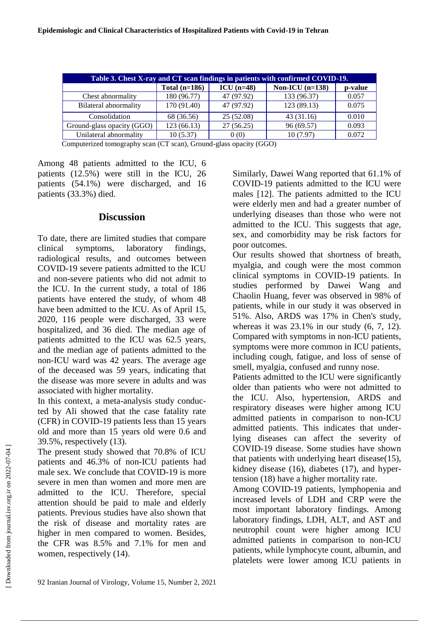| Table 3. Chest X-ray and CT scan findings in patients with confirmed COVID-19. |                 |              |                   |         |  |  |  |  |
|--------------------------------------------------------------------------------|-----------------|--------------|-------------------|---------|--|--|--|--|
|                                                                                | Total $(n=186)$ | $ICU$ (n=48) | Non-ICU $(n=138)$ | p-value |  |  |  |  |
| Chest abnormality                                                              | 180 (96.77)     | 47 (97.92)   | 133 (96.37)       | 0.057   |  |  |  |  |
| <b>Bilateral abnormality</b>                                                   | 170 (91.40)     | 47 (97.92)   | 123 (89.13)       | 0.075   |  |  |  |  |
| Consolidation                                                                  | 68 (36.56)      | 25 (52.08)   | 43(31.16)         | 0.010   |  |  |  |  |
| Ground-glass opacity (GGO)                                                     | 123 (66.13)     | 27(56.25)    | 96 (69.57)        | 0.093   |  |  |  |  |
| Unilateral abnormality                                                         | 10(5.37)        | 0(0)         | 10(7.97)          | 0.072   |  |  |  |  |

Computerized tomography scan (CT scan), Ground-glass opacity (GGO)

Among 48 patients admitted to the ICU, 6 patients (12.5%) were still in the ICU, 26 patients (54.1%) were discharged, and 16 patients (33.3%) died.

#### **Discussion**

To date, there are limited studies that compare clinical symptoms, laboratory findings, radiological results, and outcomes between COVID-19 severe patients admitted to the ICU and non-severe patients who did not admit to the ICU. In the current study, a total of 186 patients have entered the study, of whom 48 have been admitted to the ICU. As of April 15, 2020, 116 people were discharged, 33 were hospitalized, and 36 died. The median age of patients admitted to the ICU was 62.5 years, and the median age of patients admitted to the non-ICU ward was 42 years. The average age of the deceased was 59 years, indicating that the disease was more severe in adults and was associated with higher mortality.

In this context, a meta-analysis study conducted by Ali showed that the case fatality rate (CFR) in COVID-19 patients less than 15 years old and more than 15 years old were 0.6 and 39.5%, respectively (13).

The present study showed that 70.8% of ICU patients and 46.3% of non-ICU patients had male sex. We conclude that COVID-19 is more severe in men than women and more men are admitted to the ICU. Therefore, special attention should be paid to male and elderly patients. Previous studies have also shown that the risk of disease and mortality rates are higher in men compared to women. Besides, the CFR was 8.5% and 7.1% for men and women, respectively  $(14)$ .

Similarly, Dawei Wang reported that 61.1% of COVID-19 patients admitted to the ICU were males [12]. The patients admitted to the ICU were elderly men and had a greater number of underlying diseases than those who were not admitted to the ICU. This suggests that age, sex, and comorbidity may be risk factors for poor outcomes.

Our results showed that shortness of breath, myalgia, and cough were the most common clinical symptoms in COVID-19 patients. In studies performed by Dawei Wang and Chaolin Huang, fever was observed in 98% of patients, while in our study it was observed in 51%. Also, ARDS was 17% in Chen's study, whereas it was 23.1% in our study (6, 7, 12). Compared with symptoms in non-ICU patients, symptoms were more common in ICU patients, including cough, fatigue, and loss of sense of smell, myalgia, confused and runny nose.

Patients admitted to the ICU were significantly older than patients who were not admitted to the ICU. Also, hypertension, ARDS and respiratory diseases were higher among ICU admitted patients in comparison to non-ICU admitted patients. This indicates that underlying diseases can affect the severity of COVID-19 disease. Some studies have shown that patients with underlying heart disease(15), kidney disease (16), diabetes (17), and hypertension (18) have a higher mortality rate.

Among COVID-19 patients, lymphopenia and increased levels of LDH and CRP were the most important laboratory findings. Among laboratory findings, LDH, ALT, and AST and neutrophil count were higher among ICU admitted patients in comparison to non-ICU patients, while lymphocyte count, albumin, and platelets were lower among ICU patients in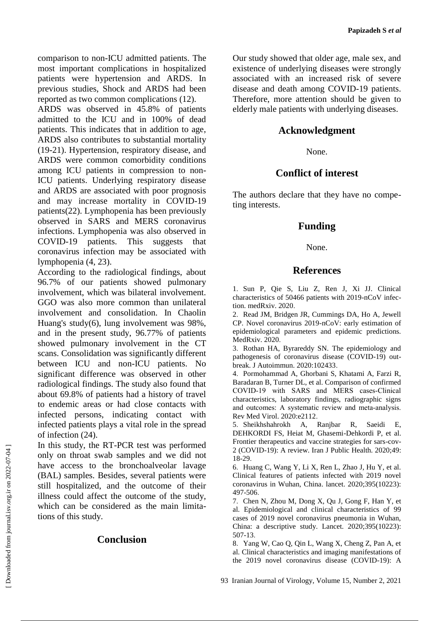comparison to non-ICU admitted patients. The most important complications in hospitalized patients were hypertension and ARDS. In previous studies, Shock and ARDS had been reported as two common complications (12).

ARDS was observed in 45.8% of patients admitted to the ICU and in 100% of dead patients. This indicates that in addition to age, ARDS also contributes to substantial mortality (19-21). Hypertension, respiratory disease, and ARDS were common comorbidity conditions among ICU patients in compression to non-ICU patients. Underlying respiratory disease and ARDS are associated with poor prognosis and may increase mortality in COVID-19 patients(22). Lymphopenia has been previously observed in SARS and MERS coronavirus infections. Lymphopenia was also observed in COVID-19 patients. This suggests that coronavirus infection may be associated with lymphopenia (4, 23).

According to the radiological findings, about 96.7% of our patients showed pulmonary involvement, which was bilateral involvement. GGO was also more common than unilateral involvement and consolidation. In Chaolin Huang's study(6), lung involvement was 98%, and in the present study, 96.77% of patients showed pulmonary involvement in the CT scans. Consolidation was significantly different between ICU and non-ICU patients. No significant difference was observed in other radiological findings. The study also found that about 69.8% of patients had a history of travel to endemic areas or had close contacts with infected persons, indicating contact with infected patients plays a vital role in the spread of infection (24).

In this study, the RT-PCR test was performed only on throat swab samples and we did not have access to the bronchoalveolar lavage (BAL) samples. Besides, several patients were still hospitalized, and the outcome of their illness could affect the outcome of the study, which can be considered as the main limitations of this study.

### **Conclusion**

Our study showed that older age, male sex, and existence of underlying diseases were strongly associated with an increased risk of severe disease and death among COVID-19 patients. Therefore, more attention should be given to elderly male patients with underlying diseases.

#### **Acknowledgment**

#### None.

## **Conflict of interest**

The authors declare that they have no competing interests.

## **Funding**

#### None.

### **References**

1. Sun P, Qie S, Liu Z, Ren J, Xi JJ. Clinical characteristics of 50466 patients with 2019-nCoV infection. medRxiv. 2020.

2. Read JM, Bridgen JR, Cummings DA, Ho A, Jewell CP. Novel coronavirus 2019-nCoV: early estimation of epidemiological parameters and epidemic predictions. MedRxiv. 2020.

3. Rothan HA, Byrareddy SN. The epidemiology and pathogenesis of coronavirus disease (COVID-19) outbreak. J Autoimmun. 2020:102433.

4. Pormohammad A, Ghorbani S, Khatami A, Farzi R, Baradaran B, Turner DL, et al. Comparison of confirmed COVID‐19 with SARS and MERS cases‐Clinical characteristics, laboratory findings, radiographic signs and outcomes: A systematic review and meta‐analysis. Rev Med Virol. 2020:e2112.

5. Sheikhshahrokh A, Ranjbar R, Saeidi E, DEHKORDI FS, Heiat M, Ghasemi-Dehkordi P, et al. Frontier therapeutics and vaccine strategies for sars-cov-2 (COVID-19): A review. Iran J Public Health. 2020;49: 18-29.

6. Huang C, Wang Y, Li X, Ren L, Zhao J, Hu Y, et al. Clinical features of patients infected with 2019 novel coronavirus in Wuhan, China. lancet. 2020;395(10223): 497-506.

7. Chen N, Zhou M, Dong X, Qu J, Gong F, Han Y, et al. Epidemiological and clinical characteristics of 99 cases of 2019 novel coronavirus pneumonia in Wuhan, China: a descriptive study. Lancet. 2020;395(10223): 507-13.

8. Yang W, Cao Q, Qin L, Wang X, Cheng Z, Pan A, et al. Clinical characteristics and imaging manifestations of the 2019 novel coronavirus disease (COVID-19): A